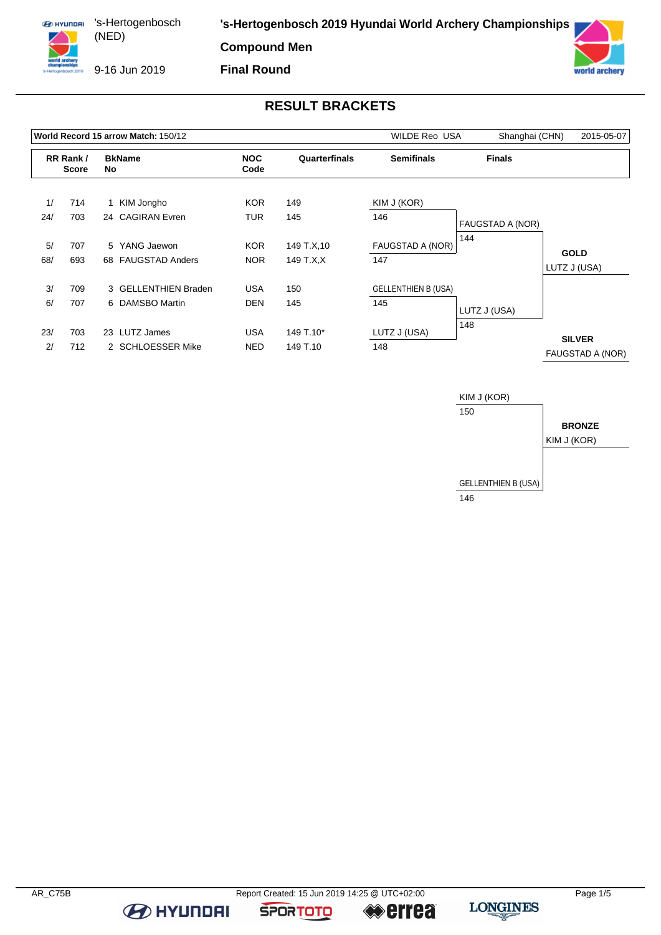

9-16 Jun 2019

**Final Round**



## **RESULT BRACKETS**

|     |                          |    | World Record 15 arrow Match: 150/12 |            | <b>WILDE Reo USA</b> | Shanghai (CHN)             | 2015-05-07       |                                   |
|-----|--------------------------|----|-------------------------------------|------------|----------------------|----------------------------|------------------|-----------------------------------|
|     | RR Rank/<br><b>Score</b> |    | <b>BkName</b><br>No                 |            | Quarterfinals        | <b>Semifinals</b>          | <b>Finals</b>    |                                   |
| 1/  | 714                      |    | 1 KIM Jongho                        | <b>KOR</b> | 149                  | KIM J (KOR)                |                  |                                   |
| 24/ | 703                      |    | 24 CAGIRAN Evren                    | <b>TUR</b> | 145                  | 146                        | FAUGSTAD A (NOR) |                                   |
| 5/  | 707                      |    | 5 YANG Jaewon                       | <b>KOR</b> | 149 T.X, 10          | FAUGSTAD A (NOR)           | 144              |                                   |
| 68/ | 693                      |    | 68 FAUGSTAD Anders                  | <b>NOR</b> | 149 T.X.X            | 147                        |                  | <b>GOLD</b><br>LUTZ J (USA)       |
| 3/  | 709                      |    | 3 GELLENTHIEN Braden                | <b>USA</b> | 150                  | <b>GELLENTHIEN B (USA)</b> |                  |                                   |
| 6/  | 707                      |    | 6 DAMSBO Martin                     | <b>DEN</b> | 145                  | 145                        | LUTZ J (USA)     |                                   |
| 23/ | 703                      | 23 | LUTZ James                          | <b>USA</b> | 149 T.10*            | LUTZ J (USA)               | 148              |                                   |
| 2/  | 712                      |    | 2 SCHLOESSER Mike                   | <b>NED</b> | 149 T.10             | 148                        |                  | <b>SILVER</b><br>FAUGSTAD A (NOR) |



**B** HYUNDAI

**SPORTOTO** 

**errea** 

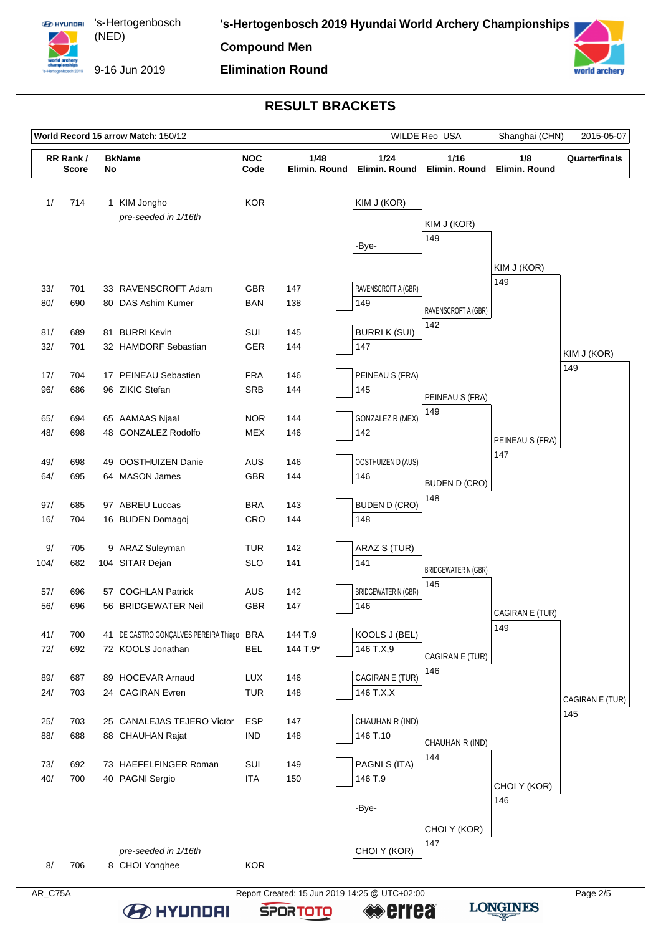

9-16 Jun 2019

# **Elimination Round**

world archery

## **RESULT BRACKETS**

| RR Rank/<br>1/ | <b>Score</b> | No | <b>BkName</b>                             | <b>NOC</b>                    |            | 1/24                       | 1/16                        |                        |                    |
|----------------|--------------|----|-------------------------------------------|-------------------------------|------------|----------------------------|-----------------------------|------------------------|--------------------|
|                |              |    |                                           | 1/48<br>Code<br>Elimin. Round |            | Elimin. Round              | Elimin. Round               | 1/8<br>Elimin, Round   | Quarterfinals      |
|                | 714          |    | 1 KIM Jongho                              | <b>KOR</b>                    |            | KIM J (KOR)                |                             |                        |                    |
|                |              |    | pre-seeded in 1/16th                      |                               |            |                            |                             |                        |                    |
|                |              |    |                                           |                               |            |                            | KIM J (KOR)                 |                        |                    |
|                |              |    |                                           |                               |            | -Bye-                      | 149                         |                        |                    |
|                |              |    |                                           |                               |            |                            |                             | KIM J (KOR)            |                    |
|                |              |    |                                           |                               |            |                            |                             | 149                    |                    |
| 33/<br>80/     | 701<br>690   |    | 33 RAVENSCROFT Adam<br>80 DAS Ashim Kumer | <b>GBR</b><br><b>BAN</b>      | 147<br>138 | RAVENSCROFT A (GBR)<br>149 |                             |                        |                    |
|                |              |    |                                           |                               |            |                            | RAVENSCROFT A (GBR)         |                        |                    |
| 81/            | 689          | 81 | <b>BURRI Kevin</b>                        | SUI                           | 145        | <b>BURRIK (SUI)</b>        | 142                         |                        |                    |
| 32/            | 701          |    | 32 HAMDORF Sebastian                      | <b>GER</b>                    | 144        | 147                        |                             |                        |                    |
|                |              |    |                                           |                               |            |                            |                             |                        | KIM J (KOR)<br>149 |
| 17/            | 704          |    | 17 PEINEAU Sebastien                      | <b>FRA</b>                    | 146        | PEINEAU S (FRA)            |                             |                        |                    |
| 96/            | 686          |    | 96 ZIKIC Stefan                           | <b>SRB</b>                    | 144        | 145                        | PEINEAU S (FRA)             |                        |                    |
|                |              |    |                                           |                               |            |                            | 149                         |                        |                    |
| 65/<br>48/     | 694<br>698   |    | 65 AAMAAS Njaal<br>48 GONZALEZ Rodolfo    | <b>NOR</b><br>MEX             | 144<br>146 | GONZALEZ R (MEX)<br>142    |                             |                        |                    |
|                |              |    |                                           |                               |            |                            |                             | PEINEAU S (FRA)        |                    |
| 49/            | 698          |    | 49 OOSTHUIZEN Danie                       | AUS                           | 146        | OOSTHUIZEN D (AUS)         |                             | 147                    |                    |
| 64/            | 695          |    | 64 MASON James                            | GBR                           | 144        | 146                        |                             |                        |                    |
|                |              |    |                                           |                               |            |                            | <b>BUDEN D (CRO)</b><br>148 |                        |                    |
| 97/            | 685          |    | 97 ABREU Luccas                           | <b>BRA</b>                    | 143        | <b>BUDEN D (CRO)</b>       |                             |                        |                    |
| 16/            | 704          |    | 16 BUDEN Domagoj                          | CRO                           | 144        | 148                        |                             |                        |                    |
|                |              |    |                                           |                               |            |                            |                             |                        |                    |
| 9/<br>104/     | 705<br>682   |    | 9 ARAZ Suleyman<br>104 SITAR Dejan        | <b>TUR</b><br><b>SLO</b>      | 142<br>141 | ARAZ S (TUR)<br>141        |                             |                        |                    |
|                |              |    |                                           |                               |            |                            | <b>BRIDGEWATER N (GBR)</b>  |                        |                    |
| 57/            | 696          |    | 57 COGHLAN Patrick                        | AUS                           | 142        | <b>BRIDGEWATER N (GBR)</b> | 145                         |                        |                    |
| 56/            | 696          |    | 56 BRIDGEWATER Neil                       | GBR                           | 147        | 146                        |                             |                        |                    |
|                |              |    |                                           |                               |            |                            |                             | CAGIRAN E (TUR)<br>149 |                    |
| 41/            | 700          |    | 41 DE CASTRO GONÇALVES PEREIRA Thiago BRA |                               | 144 T.9    | KOOLS J (BEL)              |                             |                        |                    |
| 72/            | 692          |    | 72 KOOLS Jonathan                         | <b>BEL</b>                    | 144 T.9*   | 146 T.X,9                  | CAGIRAN E (TUR)             |                        |                    |
| 89/            | 687          |    | 89 HOCEVAR Arnaud                         | <b>LUX</b>                    | 146        | CAGIRAN E (TUR)            | 146                         |                        |                    |
| 24/            | 703          |    | 24 CAGIRAN Evren                          | <b>TUR</b>                    | 148        | 146 T.X,X                  |                             |                        |                    |
|                |              |    |                                           |                               |            |                            |                             |                        | CAGIRAN E (TUR)    |
| 25/            | 703          |    | 25 CANALEJAS TEJERO Victor                | <b>ESP</b>                    | 147        | CHAUHAN R (IND)            |                             |                        | 145                |
| 88/            | 688          |    | 88 CHAUHAN Rajat                          | <b>IND</b>                    | 148        | 146 T.10                   |                             |                        |                    |
|                |              |    |                                           |                               |            |                            | CHAUHAN R (IND)<br>144      |                        |                    |
| 73/            | 692          |    | 73 HAEFELFINGER Roman                     | SUI                           | 149        | PAGNI S (ITA)              |                             |                        |                    |
| 40/            | 700          |    | 40 PAGNI Sergio                           | <b>ITA</b>                    | 150        | 146 T.9                    |                             | CHOI Y (KOR)           |                    |
|                |              |    |                                           |                               |            |                            |                             | 146                    |                    |
|                |              |    |                                           |                               |            | -Bye-                      |                             |                        |                    |
|                |              |    |                                           |                               |            |                            | CHOI Y (KOR)                |                        |                    |
|                |              |    | pre-seeded in 1/16th                      |                               |            | CHOI Y (KOR)               | 147                         |                        |                    |
| 8/             | 706          |    | 8 CHOI Yonghee                            | <b>KOR</b>                    |            |                            |                             |                        |                    |

AR\_C75A Report Created: 15 Jun 2019 14:25 @ UTC+02:00 **B** HYUNDAI

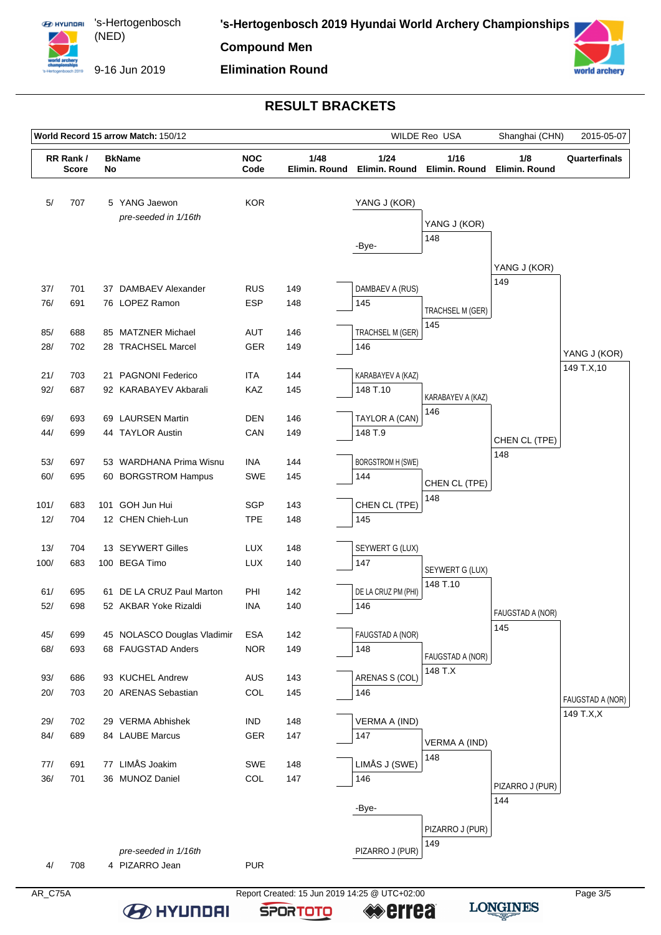

9-16 Jun 2019

# **Elimination Round**



### **RESULT BRACKETS**

| World Record 15 arrow Match: 150/12 |                                |  |                                                    |                                             | WILDE Reo USA | Shanghai (CHN)           | 2015-05-07              |                      |                  |
|-------------------------------------|--------------------------------|--|----------------------------------------------------|---------------------------------------------|---------------|--------------------------|-------------------------|----------------------|------------------|
|                                     | RR Rank/<br><b>Score</b><br>No |  | <b>BkName</b>                                      | <b>NOC</b><br>1/48<br>Code<br>Elimin. Round |               | 1/24<br>Elimin, Round    | 1/16<br>Elimin. Round   | 1/8<br>Elimin. Round | Quarterfinals    |
| 5/                                  | 707                            |  | 5 YANG Jaewon<br>pre-seeded in 1/16th              | <b>KOR</b>                                  |               | YANG J (KOR)             | YANG J (KOR)            |                      |                  |
|                                     |                                |  |                                                    |                                             |               | -Bye-                    | 148                     |                      |                  |
|                                     |                                |  |                                                    |                                             |               |                          |                         | YANG J (KOR)<br>149  |                  |
| 37/                                 | 701                            |  | 37 DAMBAEV Alexander                               | <b>RUS</b>                                  | 149           | DAMBAEV A (RUS)          |                         |                      |                  |
| 76/                                 | 691                            |  | 76 LOPEZ Ramon                                     | <b>ESP</b>                                  | 148           | 145                      | TRACHSEL M (GER)<br>145 |                      |                  |
| 85/                                 | 688                            |  | 85 MATZNER Michael                                 | AUT                                         | 146           | TRACHSEL M (GER)         |                         |                      |                  |
| 28/                                 | 702                            |  | 28 TRACHSEL Marcel                                 | GER                                         | 149           | 146                      |                         |                      | YANG J (KOR)     |
| 21/                                 | 703                            |  | 21 PAGNONI Federico                                | <b>ITA</b>                                  | 144           | KARABAYEV A (KAZ)        |                         |                      | 149 T.X, 10      |
| 92/                                 | 687                            |  | 92 KARABAYEV Akbarali                              | KAZ                                         | 145           | 148 T.10                 | KARABAYEV A (KAZ)       |                      |                  |
| 69/                                 | 693                            |  | 69 LAURSEN Martin                                  | DEN                                         | 146           | TAYLOR A (CAN)           | 146                     |                      |                  |
| 44/                                 | 699                            |  | 44 TAYLOR Austin                                   | CAN                                         | 149           | 148 T.9                  |                         | CHEN CL (TPE)        |                  |
| 53/                                 | 697                            |  | 53 WARDHANA Prima Wisnu                            | INA                                         | 144           | <b>BORGSTROM H (SWE)</b> |                         | 148                  |                  |
| 60/                                 | 695                            |  | 60 BORGSTROM Hampus                                | SWE                                         | 145           | 144                      |                         |                      |                  |
|                                     |                                |  |                                                    |                                             |               |                          | CHEN CL (TPE)<br>148    |                      |                  |
| 101/                                | 683                            |  | 101 GOH Jun Hui                                    | <b>SGP</b>                                  | 143           | CHEN CL (TPE)            |                         |                      |                  |
| 12/                                 | 704                            |  | 12 CHEN Chieh-Lun                                  | <b>TPE</b>                                  | 148           | 145                      |                         |                      |                  |
| 13/                                 | 704                            |  | 13 SEYWERT Gilles                                  | <b>LUX</b>                                  | 148           | SEYWERT G (LUX)          |                         |                      |                  |
| 100/                                | 683                            |  | 100 BEGA Timo                                      | <b>LUX</b>                                  | 140           | 147                      | SEYWERT G (LUX)         |                      |                  |
|                                     |                                |  |                                                    |                                             |               | DE LA CRUZ PM (PHI)      | 148 T.10                |                      |                  |
| 61/<br>52/                          | 695<br>698                     |  | 61 DE LA CRUZ Paul Marton<br>52 AKBAR Yoke Rizaldi | PHI<br>INA                                  | 142<br>140    | 146                      |                         |                      |                  |
|                                     |                                |  |                                                    |                                             |               |                          |                         | FAUGSTAD A (NOR)     |                  |
| 45/                                 | 699                            |  | 45 NOLASCO Douglas Vladimir                        | <b>ESA</b>                                  | 142           | FAUGSTAD A (NOR)         |                         | 145                  |                  |
| 68/                                 | 693                            |  | 68 FAUGSTAD Anders                                 | <b>NOR</b>                                  | 149           | 148                      | FAUGSTAD A (NOR)        |                      |                  |
| 93/                                 | 686                            |  | 93 KUCHEL Andrew                                   | <b>AUS</b>                                  | 143           | ARENAS S (COL)           | 148 T.X                 |                      |                  |
| 20/                                 | 703                            |  | 20 ARENAS Sebastian                                | COL                                         | 145           | 146                      |                         |                      | FAUGSTAD A (NOR) |
| 29/                                 | 702                            |  | 29 VERMA Abhishek                                  | <b>IND</b>                                  | 148           | VERMA A (IND)            |                         |                      | 149 T.X,X        |
| 84/                                 | 689                            |  | 84 LAUBE Marcus                                    | GER                                         | 147           | 147                      |                         |                      |                  |
|                                     |                                |  |                                                    |                                             |               |                          | VERMA A (IND)<br>148    |                      |                  |
| 77/                                 | 691                            |  | 77 LIMÅS Joakim                                    | SWE                                         | 148           | LIMÅS J (SWE)            |                         |                      |                  |
| 36/                                 | 701                            |  | 36 MUNOZ Daniel                                    | COL                                         | 147           | 146                      |                         | PIZARRO J (PUR)      |                  |
|                                     |                                |  |                                                    |                                             |               | -Bye-                    |                         | 144                  |                  |
|                                     |                                |  |                                                    |                                             |               |                          | PIZARRO J (PUR)         |                      |                  |
|                                     |                                |  | pre-seeded in 1/16th                               |                                             |               | PIZARRO J (PUR)          | 149                     |                      |                  |
| 4/                                  | 708                            |  | 4 PIZARRO Jean                                     | <b>PUR</b>                                  |               |                          |                         |                      |                  |
|                                     |                                |  |                                                    |                                             |               |                          |                         |                      |                  |

AR\_C75A Report Created: 15 Jun 2019 14:25 @ UTC+02:00

**SPORTOTO** 

**errea** 

**B** HYUNDAI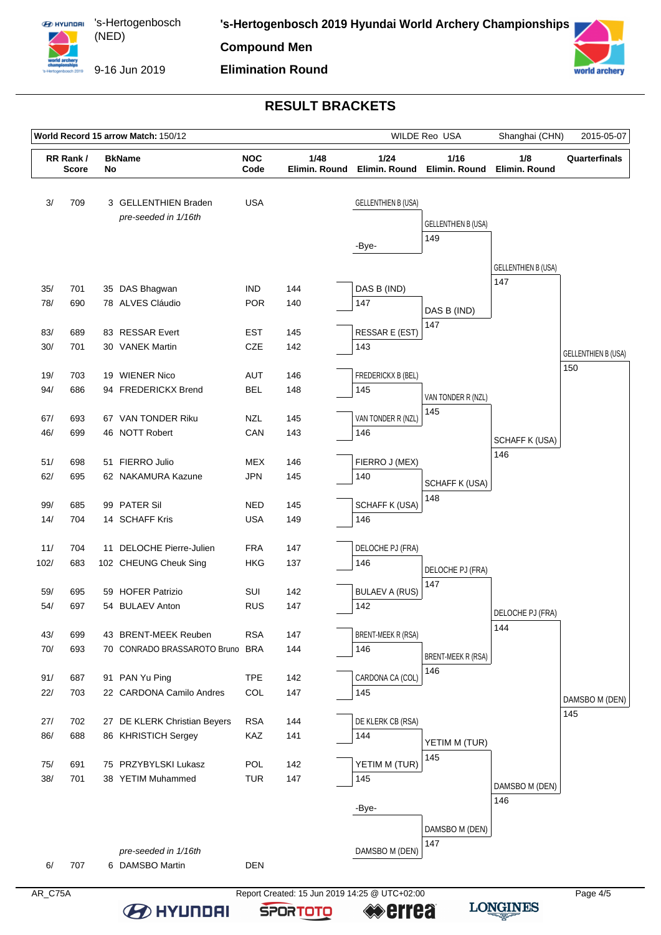

**Elimination Round**



#### **RESULT BRACKETS**

| World Record 15 arrow Match: 150/12 |                          |  |                                                   |                    | WILDE Reo USA         | Shanghai (CHN)             | 2015-05-07                 |                            |                            |
|-------------------------------------|--------------------------|--|---------------------------------------------------|--------------------|-----------------------|----------------------------|----------------------------|----------------------------|----------------------------|
|                                     | RR Rank/<br><b>Score</b> |  | <b>BkName</b><br>No                               | <b>NOC</b><br>Code | 1/48<br>Elimin. Round | 1/24<br>Elimin. Round      | 1/16<br>Elimin. Round      | 1/8<br>Elimin. Round       | Quarterfinals              |
| 3/                                  | 709                      |  | 3 GELLENTHIEN Braden<br>pre-seeded in 1/16th      | <b>USA</b>         |                       | <b>GELLENTHIEN B (USA)</b> | <b>GELLENTHIEN B (USA)</b> |                            |                            |
|                                     |                          |  |                                                   |                    |                       |                            | 149                        |                            |                            |
|                                     |                          |  |                                                   |                    |                       | -Bye-                      |                            |                            |                            |
|                                     |                          |  |                                                   |                    |                       |                            |                            | <b>GELLENTHIEN B (USA)</b> |                            |
| 35/                                 | 701                      |  | 35 DAS Bhagwan                                    | <b>IND</b>         | 144                   | DAS B (IND)                |                            | 147                        |                            |
| 78/                                 | 690                      |  | 78 ALVES Cláudio                                  | <b>POR</b>         | 140                   | 147                        | DAS B (IND)                |                            |                            |
|                                     |                          |  |                                                   |                    |                       |                            | 147                        |                            |                            |
| 83/                                 | 689                      |  | 83 RESSAR Evert                                   | <b>EST</b>         | 145                   | RESSAR E (EST)<br>143      |                            |                            |                            |
| 30/                                 | 701                      |  | 30 VANEK Martin                                   | CZE                | 142                   |                            |                            |                            | <b>GELLENTHIEN B (USA)</b> |
| 19/                                 | 703                      |  | 19 WIENER Nico                                    | AUT                | 146                   | FREDERICKX B (BEL)         |                            |                            | 150                        |
| 94/                                 | 686                      |  | 94 FREDERICKX Brend                               | <b>BEL</b>         | 148                   | 145                        |                            |                            |                            |
|                                     |                          |  |                                                   |                    |                       |                            | VAN TONDER R (NZL)<br>145  |                            |                            |
| 67/                                 | 693                      |  | 67 VAN TONDER Riku                                | <b>NZL</b>         | 145                   | VAN TONDER R (NZL)         |                            |                            |                            |
| 46/                                 | 699                      |  | 46 NOTT Robert                                    | CAN                | 143                   | 146                        |                            | <b>SCHAFF K (USA)</b>      |                            |
| 51/                                 | 698                      |  | 51 FIERRO Julio                                   | <b>MEX</b>         | 146                   | FIERRO J (MEX)             |                            | 146                        |                            |
| 62/                                 | 695                      |  | 62 NAKAMURA Kazune                                | <b>JPN</b>         | 145                   | 140                        |                            |                            |                            |
|                                     |                          |  |                                                   |                    |                       |                            | SCHAFF K (USA)             |                            |                            |
| 99/                                 | 685                      |  | 99 PATER Sil                                      | <b>NED</b>         | 145                   | <b>SCHAFF K (USA)</b>      | 148                        |                            |                            |
| 14/                                 | 704                      |  | 14 SCHAFF Kris                                    | <b>USA</b>         | 149                   | 146                        |                            |                            |                            |
|                                     |                          |  |                                                   | <b>FRA</b>         |                       |                            |                            |                            |                            |
| 11/<br>102/                         | 704<br>683               |  | 11 DELOCHE Pierre-Julien<br>102 CHEUNG Cheuk Sing | <b>HKG</b>         | 147<br>137            | DELOCHE PJ (FRA)<br>146    |                            |                            |                            |
|                                     |                          |  |                                                   |                    |                       |                            | DELOCHE PJ (FRA)           |                            |                            |
| 59/                                 | 695                      |  | 59 HOFER Patrizio                                 | SUI                | 142                   | <b>BULAEV A (RUS)</b>      | 147                        |                            |                            |
| 54/                                 | 697                      |  | 54 BULAEV Anton                                   | <b>RUS</b>         | 147                   | 142                        |                            | DELOCHE PJ (FRA)           |                            |
|                                     |                          |  |                                                   |                    |                       |                            |                            | 144                        |                            |
| 43/                                 | 699                      |  | 43 BRENT-MEEK Reuben                              | <b>RSA</b>         | 147                   | <b>BRENT-MEEK R (RSA)</b>  |                            |                            |                            |
| 70/                                 | 693                      |  | 70 CONRADO BRASSAROTO Bruno BRA                   |                    | 144                   | 146                        | <b>BRENT-MEEK R (RSA)</b>  |                            |                            |
| 91/                                 | 687                      |  | 91 PAN Yu Ping                                    | <b>TPE</b>         | 142                   | CARDONA CA (COL)           | 146                        |                            |                            |
| 22/                                 | 703                      |  | 22 CARDONA Camilo Andres                          | COL                | 147                   | 145                        |                            |                            |                            |
|                                     |                          |  |                                                   |                    |                       |                            |                            |                            | DAMSBO M (DEN)<br>145      |
| 27/                                 | 702                      |  | 27 DE KLERK Christian Beyers                      | <b>RSA</b>         | 144                   | DE KLERK CB (RSA)          |                            |                            |                            |
| 86/                                 | 688                      |  | 86 KHRISTICH Sergey                               | KAZ                | 141                   | 144                        | YETIM M (TUR)              |                            |                            |
| 75/                                 | 691                      |  | 75 PRZYBYLSKI Lukasz                              | POL                | 142                   | YETIM M (TUR)              | 145                        |                            |                            |
| 38/                                 | 701                      |  | 38 YETIM Muhammed                                 | <b>TUR</b>         | 147                   | 145                        |                            |                            |                            |
|                                     |                          |  |                                                   |                    |                       |                            |                            | DAMSBO M (DEN)             |                            |
|                                     |                          |  |                                                   |                    |                       | -Bye-                      |                            | 146                        |                            |
|                                     |                          |  |                                                   |                    |                       |                            | DAMSBO M (DEN)             |                            |                            |
|                                     |                          |  |                                                   |                    |                       |                            | 147                        |                            |                            |
| 6/                                  | 707                      |  | pre-seeded in 1/16th<br>6 DAMSBO Martin           | <b>DEN</b>         |                       | DAMSBO M (DEN)             |                            |                            |                            |
|                                     |                          |  |                                                   |                    |                       |                            |                            |                            |                            |

**B** HYUNDAI

AR\_C75A Report Created: 15 Jun 2019 14:25 @ UTC+02:00 **errea** 

**SPORTOTO**